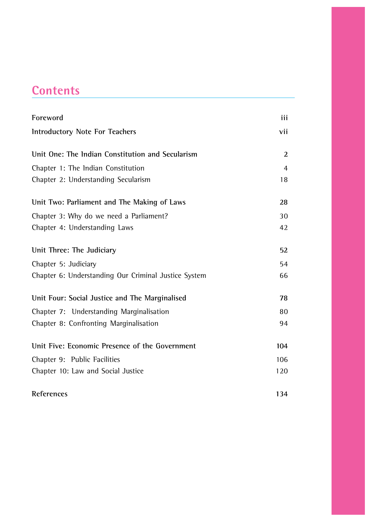## **Contents**

| Foreword                                             | iii |
|------------------------------------------------------|-----|
| Introductory Note For Teachers                       | vii |
| Unit One: The Indian Constitution and Secularism     | 2   |
| Chapter 1: The Indian Constitution                   | 4   |
| Chapter 2: Understanding Secularism                  | 18  |
| Unit Two: Parliament and The Making of Laws          | 28  |
| Chapter 3: Why do we need a Parliament?              | 30  |
| Chapter 4: Understanding Laws                        | 42  |
| Unit Three: The Judiciary                            | 52  |
| Chapter 5: Judiciary                                 | 54  |
| Chapter 6: Understanding Our Criminal Justice System | 66  |
| Unit Four: Social Justice and The Marginalised       | 78  |
| Chapter 7: Understanding Marginalisation             | 80  |
| Chapter 8: Confronting Marginalisation               | 94  |
| Unit Five: Economic Presence of the Government       | 104 |
| Chapter 9: Public Facilities                         | 106 |
| Chapter 10: Law and Social Justice                   | 120 |

**References** 134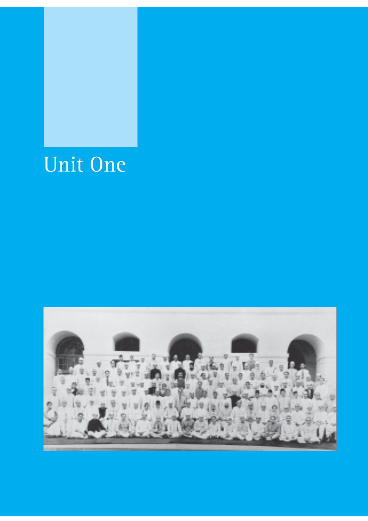# Unit One

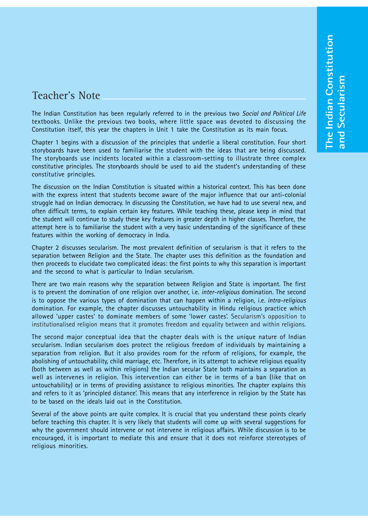### Teacher's Note

The Indian Constitution has been regularly referred to in the previous two *Social and Political Life* textbooks. Unlike the previous two books, where little space was devoted to discussing the Constitution itself, this year the chapters in Unit 1 take the Constitution as its main focus.

Chapter 1 begins with a discussion of the principles that underlie a liberal constitution. Four short storyboards have been used to familiarise the student with the ideas that are being discussed. The storyboards use incidents located within a classroom-setting to illustrate three complex constitutive principles. The storyboards should be used to aid the student's understanding of these constitutive principles.

The discussion on the Indian Constitution is situated within a historical context. This has been done with the express intent that students become aware of the major influence that our anti-colonial struggle had on Indian democracy. In discussing the Constitution, we have had to use several new, and often difficult terms, to explain certain key features. While teaching these, please keep in mind that the student will continue to study these key features in greater depth in higher classes. Therefore, the attempt here is to familiarise the student with a very basic understanding of the significance of these features within the working of democracy in India.

Chapter 2 discusses secularism. The most prevalent definition of secularism is that it refers to the separation between Religion and the State. The chapter uses this definition as the foundation and then proceeds to elucidate two complicated ideas: the first points to why this separation is important and the second to what is particular to Indian secularism.

There are two main reasons why the separation between Religion and State is important. The first is to prevent the domination of one religion over another, i.e. *inter-religious* domination. The second is to oppose the various types of domination that can happen within a religion, i.e. *intra-religious* domination. For example, the chapter discusses untouchability in Hindu religious practice which allowed 'upper castes' to dominate members of some 'lower castes'. Secularism's opposition to institutionalised religion means that it promotes freedom and equality between and within religions.

The second major conceptual idea that the chapter deals with is the unique nature of Indian secularism. Indian secularism does protect the religious freedom of individuals by maintaining a separation from religion. But it also provides room for the reform of religions, for example, the abolishing of untouchability, child marriage, etc. Therefore, in its attempt to achieve religious equality (both between as well as within religions) the Indian secular State both maintains a separation as well as intervenes in religion. This intervention can either be in terms of a ban (like that on untouchability) or in terms of providing assistance to religious minorities. The chapter explains this and refers to it as 'principled distance'. This means that any interference in religion by the State has to be based on the ideals laid out in the Constitution.

Several of the above points are quite complex. It is crucial that you understand these points clearly before teaching this chapter. It is very likely that students will come up with several suggestions for why the government should intervene or not intervene in religious affairs. While discussion is to be encouraged, it is important to mediate this and ensure that it does not reinforce stereotypes of religious minorities.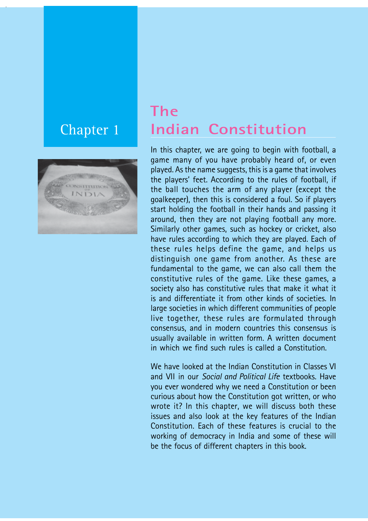# Chapter 1



# **The Indian Constitution**

In this chapter, we are going to begin with football, a game many of you have probably heard of, or even played. As the name suggests, this is a game that involves the players' feet. According to the rules of football, if the ball touches the arm of any player (except the goalkeeper), then this is considered a foul. So if players start holding the football in their hands and passing it around, then they are not playing football any more. Similarly other games, such as hockey or cricket, also have rules according to which they are played. Each of these rules helps define the game, and helps us distinguish one game from another. As these are fundamental to the game, we can also call them the constitutive rules of the game. Like these games, a society also has constitutive rules that make it what it is and differentiate it from other kinds of societies. In large societies in which different communities of people live together, these rules are formulated through consensus, and in modern countries this consensus is usually available in written form. A written document in which we find such rules is called a Constitution.

We have looked at the Indian Constitution in Classes VI and VII in our *Social and Political Life* textbooks. Have you ever wondered why we need a Constitution or been curious about how the Constitution got written, or who wrote it? In this chapter, we will discuss both these issues and also look at the key features of the Indian Constitution. Each of these features is crucial to the working of democracy in India and some of these will be the focus of different chapters in this book.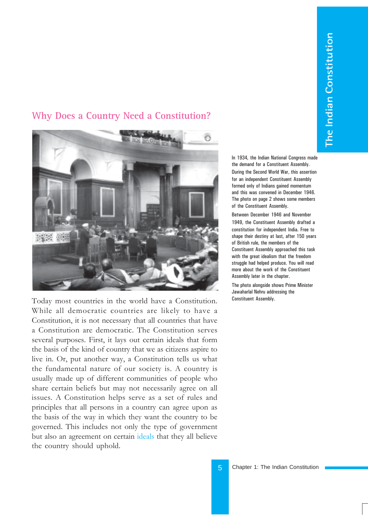### **Why Does a Country Need a Constitution?**



Today most countries in the world have a Constitution. While all democratic countries are likely to have a Constitution, it is not necessary that all countries that have a Constitution are democratic. The Constitution serves several purposes. First, it lays out certain ideals that form the basis of the kind of country that we as citizens aspire to live in. Or, put another way, a Constitution tells us what the fundamental nature of our society is. A country is usually made up of different communities of people who share certain beliefs but may not necessarily agree on all issues. A Constitution helps serve as a set of rules and principles that all persons in a country can agree upon as the basis of the way in which they want the country to be governed. This includes not only the type of government but also an agreement on certain ideals that they all believe the country should uphold.

In 1934, the Indian National Congress made the demand for a Constituent Assembly. During the Second World War, this assertion for an independent Constituent Assembly formed only of Indians gained momentum and this was convened in December 1946. The photo on page 2 shows some members of the Constituent Assembly.

Between December 1946 and November 1949, the Constituent Assembly drafted a constitution for independent India. Free to shape their destiny at last, after 150 years of British rule, the members of the Constituent Assembly approached this task with the great idealism that the freedom struggle had helped produce. You will read more about the work of the Constituent Assembly later in the chapter.

The photo alongside shows Prime Minister Jawaharlal Nehru addressing the Constituent Assembly.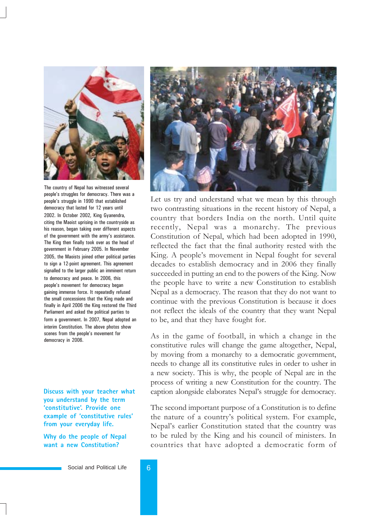

The country of Nepal has witnessed several people's struggles for democracy. There was a people's struggle in 1990 that established democracy that lasted for 12 years until 2002. In October 2002, King Gyanendra, citing the Maoist uprising in the countryside as his reason, began taking over different aspects of the government with the army's assistance. The King then finally took over as the head of government in February 2005. In November 2005, the Maoists joined other political parties to sign a 12-point agreement. This agreement signalled to the larger public an imminent return to democracy and peace. In 2006, this people's movement for democracy began gaining immense force. It repeatedly refused the small concessions that the King made and finally in April 2006 the King restored the Third Parliament and asked the political parties to form a government. In 2007, Nepal adopted an interim Constitution. The above photos show scenes from the people's movement for democracy in 2006.

**Discuss with your teacher what you understand by the term 'constitutive'. Provide one example of 'constitutive rules' from your everyday life.**

**Why do the people of Nepal want a new Constitution?**



Let us try and understand what we mean by this through two contrasting situations in the recent history of Nepal, a country that borders India on the north. Until quite recently, Nepal was a monarchy. The previous Constitution of Nepal, which had been adopted in 1990, reflected the fact that the final authority rested with the King. A people's movement in Nepal fought for several decades to establish democracy and in 2006 they finally succeeded in putting an end to the powers of the King. Now the people have to write a new Constitution to establish Nepal as a democracy. The reason that they do not want to continue with the previous Constitution is because it does not reflect the ideals of the country that they want Nepal to be, and that they have fought for.

As in the game of football, in which a change in the constitutive rules will change the game altogether, Nepal, by moving from a monarchy to a democratic government, needs to change all its constitutive rules in order to usher in a new society. This is why, the people of Nepal are in the process of writing a new Constitution for the country. The caption alongside elaborates Nepal's struggle for democracy.

The second important purpose of a Constitution is to define the nature of a country's political system. For example, Nepal's earlier Constitution stated that the country was to be ruled by the King and his council of ministers. In countries that have adopted a democratic form of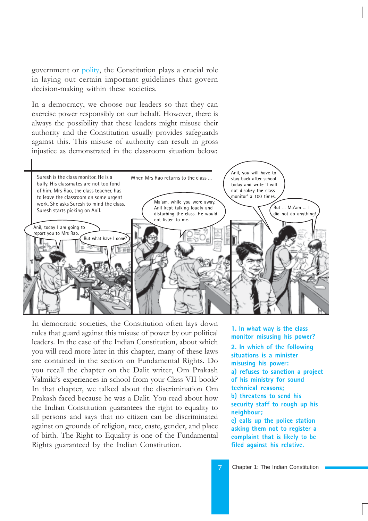government or polity, the Constitution plays a crucial role in laying out certain important guidelines that govern decision-making within these societies.

In a democracy, we choose our leaders so that they can exercise power responsibly on our behalf. However, there is always the possibility that these leaders might misuse their authority and the Constitution usually provides safeguards against this. This misuse of authority can result in gross injustice as demonstrated in the classroom situation below:



In democratic societies, the Constitution often lays down rules that guard against this misuse of power by our political leaders. In the case of the Indian Constitution, about which you will read more later in this chapter, many of these laws are contained in the section on Fundamental Rights. Do you recall the chapter on the Dalit writer, Om Prakash Valmiki's experiences in school from your Class VII book? In that chapter, we talked about the discrimination Om Prakash faced because he was a Dalit. You read about how the Indian Constitution guarantees the right to equality to all persons and says that no citizen can be discriminated against on grounds of religion, race, caste, gender, and place of birth. The Right to Equality is one of the Fundamental Rights guaranteed by the Indian Constitution.

**1. In what way is the class monitor misusing his power?**

**2. In which of the following situations is a minister misusing his power: a) refuses to sanction a project of his ministry for sound technical reasons; b) threatens to send his security staff to rough up his neighbour; c) calls up the police station asking them not to register a complaint that is likely to be filed against his relative.**

7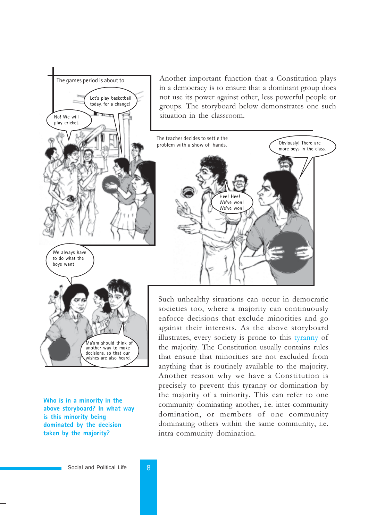

**Who is in a minority in the above storyboard? In what way is this minority being dominated by the decision taken by the majority?**

anything that is routinely available to the majority. Another reason why we have a Constitution is precisely to prevent this tyranny or domination by the majority of a minority. This can refer to one community dominating another, i.e. inter-community domination, or members of one community dominating others within the same community, i.e. intra-community domination.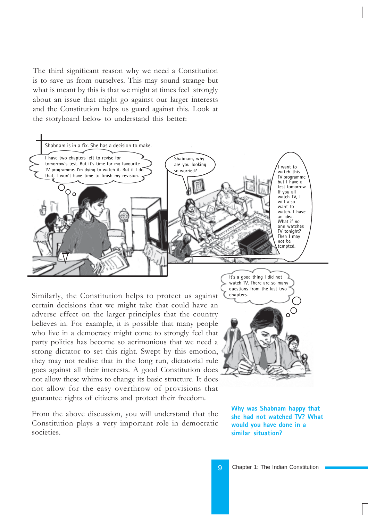The third significant reason why we need a Constitution is to save us from ourselves. This may sound strange but what is meant by this is that we might at times feel strongly about an issue that might go against our larger interests and the Constitution helps us guard against this. Look at the storyboard below to understand this better:



Similarly, the Constitution helps to protect us against certain decisions that we might take that could have an adverse effect on the larger principles that the country believes in. For example, it is possible that many people who live in a democracy might come to strongly feel that party politics has become so acrimonious that we need a strong dictator to set this right. Swept by this emotion, they may not realise that in the long run, dictatorial rule goes against all their interests. A good Constitution does not allow these whims to change its basic structure. It does not allow for the easy overthrow of provisions that guarantee rights of citizens and protect their freedom.

From the above discussion, you will understand that the Constitution plays a very important role in democratic societies.



watch TV. There are so many

**Why was Shabnam happy that she had not watched TV? What would you have done in a similar situation?**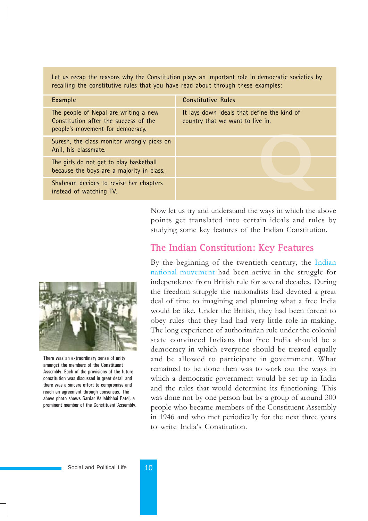Let us recap the reasons why the Constitution plays an important role in democratic societies by recalling the constitutive rules that you have read about through these examples:

| Example                                                                                                            | <b>Constitutive Rules</b>                                                       |
|--------------------------------------------------------------------------------------------------------------------|---------------------------------------------------------------------------------|
| The people of Nepal are writing a new<br>Constitution after the success of the<br>people's movement for democracy. | It lays down ideals that define the kind of<br>country that we want to live in. |
| Suresh, the class monitor wrongly picks on<br>Anil, his classmate.                                                 |                                                                                 |
| The girls do not get to play basketball<br>because the boys are a majority in class.                               |                                                                                 |
| Shabnam decides to revise her chapters<br>instead of watching TV.                                                  |                                                                                 |

Now let us try and understand the ways in which the above points get translated into certain ideals and rules by studying some key features of the Indian Constitution.

### **The Indian Constitution: Key Features**

By the beginning of the twentieth century, the Indian national movement had been active in the struggle for independence from British rule for several decades. During the freedom struggle the nationalists had devoted a great deal of time to imagining and planning what a free India would be like. Under the British, they had been forced to obey rules that they had had very little role in making. The long experience of authoritarian rule under the colonial state convinced Indians that free India should be a democracy in which everyone should be treated equally and be allowed to participate in government. What remained to be done then was to work out the ways in which a democratic government would be set up in India and the rules that would determine its functioning. This was done not by one person but by a group of around 300 people who became members of the Constituent Assembly in 1946 and who met periodically for the next three years to write India's Constitution.



There was an extraordinary sense of unity amongst the members of the Constituent Assembly. Each of the provisions of the future constitution was discussed in great detail and there was a sincere effort to compromise and reach an agreement through consensus. The above photo shows Sardar Vallabhbhai Patel, a prominent member of the Constituent Assembly.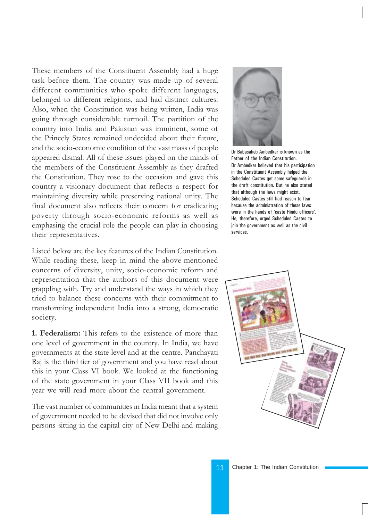These members of the Constituent Assembly had a huge task before them. The country was made up of several different communities who spoke different languages, belonged to different religions, and had distinct cultures. Also, when the Constitution was being written, India was going through considerable turmoil. The partition of the country into India and Pakistan was imminent, some of the Princely States remained undecided about their future, and the socio-economic condition of the vast mass of people appeared dismal. All of these issues played on the minds of the members of the Constituent Assembly as they drafted the Constitution. They rose to the occasion and gave this country a visionary document that reflects a respect for maintaining diversity while preserving national unity. The final document also reflects their concern for eradicating poverty through socio-economic reforms as well as emphasing the crucial role the people can play in choosing their representatives.

Listed below are the key features of the Indian Constitution. While reading these, keep in mind the above-mentioned concerns of diversity, unity, socio-economic reform and representation that the authors of this document were grappling with. Try and understand the ways in which they tried to balance these concerns with their commitment to transforming independent India into a strong, democratic society.

**1. Federalism:** This refers to the existence of more than one level of government in the country. In India, we have governments at the state level and at the centre. Panchayati Raj is the third tier of government and you have read about this in your Class VI book. We looked at the functioning of the state government in your Class VII book and this year we will read more about the central government.

The vast number of communities in India meant that a system of government needed to be devised that did not involve only persons sitting in the capital city of New Delhi and making



Dr Babasaheb Ambedkar is known as the Father of the Indian Constitution. Dr Ambedkar believed that his participation in the Constituent Assembly helped the Scheduled Castes get some safeguards in the draft constitution. But he also stated that although the laws might exist, Scheduled Castes still had reason to fear because the administration of these laws were in the hands of 'caste Hindu officers'. He, therefore, urged Scheduled Castes to join the government as well as the civil services.

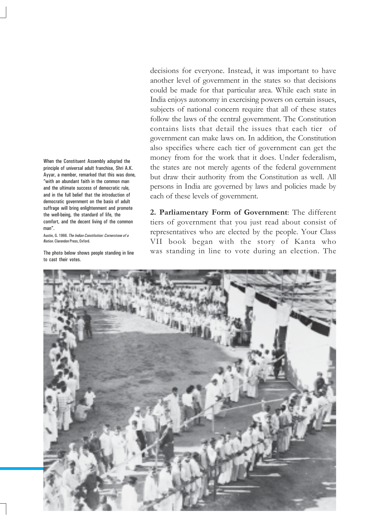When the Constituent Assembly adopted the principle of universal adult franchise, Shri A.K. Ayyar, a member, remarked that this was done, "with an abundant faith in the common man and the ultimate success of democratic rule, and in the full belief that the introduction of democratic government on the basis of adult suffrage will bring enlightenment and promote the well-being, the standard of life, the comfort, and the decent living of the common man".

Austin, G. 1966. *The Indian Constitution: Cornerstone of a Nation*. Clarendon Press, Oxford.

The photo below shows people standing in line to cast their votes.

decisions for everyone. Instead, it was important to have another level of government in the states so that decisions could be made for that particular area. While each state in India enjoys autonomy in exercising powers on certain issues, subjects of national concern require that all of these states follow the laws of the central government. The Constitution contains lists that detail the issues that each tier of government can make laws on. In addition, the Constitution also specifies where each tier of government can get the money from for the work that it does. Under federalism, the states are not merely agents of the federal government but draw their authority from the Constitution as well. All persons in India are governed by laws and policies made by each of these levels of government.

**2. Parliamentary Form of Government**: The different tiers of government that you just read about consist of representatives who are elected by the people. Your Class VII book began with the story of Kanta who was standing in line to vote during an election. The

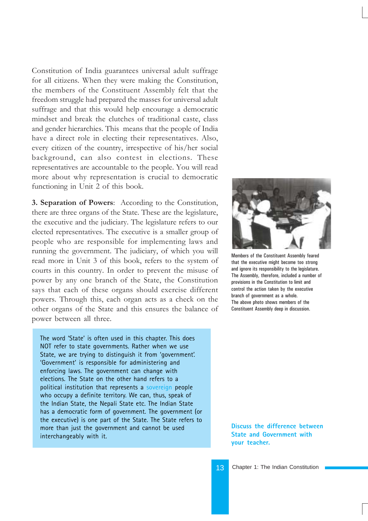Constitution of India guarantees universal adult suffrage for all citizens. When they were making the Constitution, the members of the Constituent Assembly felt that the freedom struggle had prepared the masses for universal adult suffrage and that this would help encourage a democratic mindset and break the clutches of traditional caste, class and gender hierarchies. This means that the people of India have a direct role in electing their representatives. Also, every citizen of the country, irrespective of his/her social background, can also contest in elections. These representatives are accountable to the people. You will read more about why representation is crucial to democratic functioning in Unit 2 of this book.

**3. Separation of Powers**: According to the Constitution, there are three organs of the State. These are the legislature, the executive and the judiciary. The legislature refers to our elected representatives. The executive is a smaller group of people who are responsible for implementing laws and running the government. The judiciary, of which you will read more in Unit 3 of this book, refers to the system of courts in this country. In order to prevent the misuse of power by any one branch of the State, the Constitution says that each of these organs should exercise different powers. Through this, each organ acts as a check on the other organs of the State and this ensures the balance of power between all three.

The word 'State' is often used in this chapter. This does NOT refer to state governments. Rather when we use State, we are trying to distinguish it from 'government'. 'Government' is responsible for administering and enforcing laws. The government can change with elections. The State on the other hand refers to a political institution that represents a sovereign people who occupy a definite territory. We can, thus, speak of the Indian State, the Nepali State etc. The Indian State has a democratic form of government. The government (or the executive) is one part of the State. The State refers to more than just the government and cannot be used interchangeably with it.



Members of the Constituent Assembly feared that the executive might become too strong and ignore its responsibility to the legislature. The Assembly, therefore, included a number of provisions in the Constitution to limit and control the action taken by the executive branch of government as a whole. The above photo shows members of the Constituent Assembly deep in discussion.

**Discuss the difference between State and Government with your teacher.**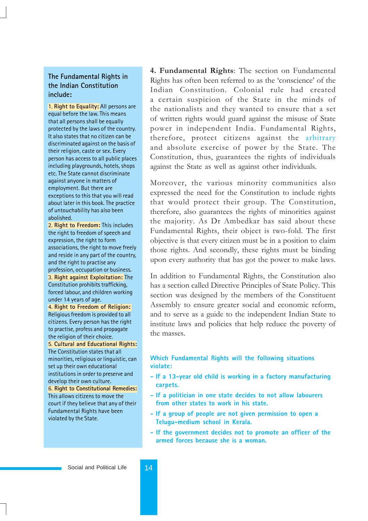#### **The Fundamental Rights in the Indian Constitution include:**

1. **Right to Equality:** All persons are equal before the law. This means that all persons shall be equally protected by the laws of the country. It also states that no citizen can be discriminated against on the basis of their religion, caste or sex. Every person has access to all public places including playgrounds, hotels, shops etc. The State cannot discriminate against anyone in matters of employment. But there are exceptions to this that you will read about later in this book. The practice of untouchability has also been abolished.

2. **Right to Freedom:** This includes the right to freedom of speech and expression, the right to form associations, the right to move freely and reside in any part of the country, and the right to practise any profession, occupation or business. 3. **Right against Exploitation:** The Constitution prohibits trafficking, forced labour, and children working under 14 years of age.

4. **Right to Freedom of Religion:** Religious freedom is provided to all citizens. Every person has the right to practise, profess and propagate the religion of their choice.

5. **Cultural and Educational Rights:** The Constitution states that all minorities, religious or linguistic, can set up their own educational institutions in order to preserve and develop their own culture. 6. **Right to Constitutional Remedies:** This allows citizens to move the court if they believe that any of their Fundamental Rights have been violated by the State.

**4. Fundamental Rights**: The section on Fundamental Rights has often been referred to as the 'conscience' of the Indian Constitution. Colonial rule had created a certain suspicion of the State in the minds of the nationalists and they wanted to ensure that a set of written rights would guard against the misuse of State power in independent India. Fundamental Rights, therefore, protect citizens against the arbitrary and absolute exercise of power by the State. The Constitution, thus, guarantees the rights of individuals against the State as well as against other individuals.

Moreover, the various minority communities also expressed the need for the Constitution to include rights that would protect their group. The Constitution, therefore, also guarantees the rights of minorities against the majority. As Dr Ambedkar has said about these Fundamental Rights, their object is two-fold. The first objective is that every citizen must be in a position to claim those rights. And secondly, these rights must be binding upon every authority that has got the power to make laws.

In addition to Fundamental Rights, the Constitution also has a section called Directive Principles of State Policy. This section was designed by the members of the Constituent Assembly to ensure greater social and economic reform, and to serve as a guide to the independent Indian State to institute laws and policies that help reduce the poverty of the masses.

**Which Fundamental Rights will the following situations violate:**

- **If a 13-year old child is working in a factory manufacturing carpets.**
- **If a politician in one state decides to not allow labourers from other states to work in his state.**
- **If a group of people are not given permission to open a Telugu-medium school in Kerala.**
- **If the government decides not to promote an officer of the armed forces because she is a woman.**

#### Social and Political Life 14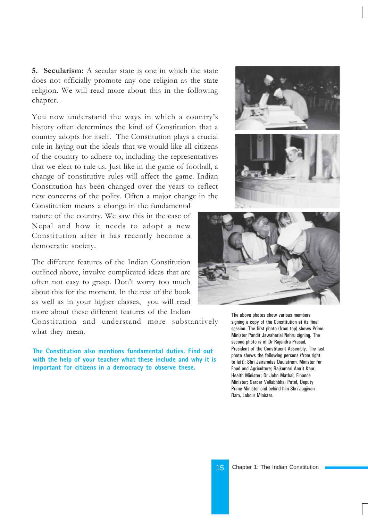**5. Secularism:** A secular state is one in which the state does not officially promote any one religion as the state religion. We will read more about this in the following chapter.

You now understand the ways in which a country's history often determines the kind of Constitution that a country adopts for itself. The Constitution plays a crucial role in laying out the ideals that we would like all citizens of the country to adhere to, including the representatives that we elect to rule us. Just like in the game of football, a change of constitutive rules will affect the game. Indian Constitution has been changed over the years to reflect new concerns of the polity. Often a major change in the

Constitution means a change in the fundamental nature of the country. We saw this in the case of Nepal and how it needs to adopt a new Constitution after it has recently become a democratic society.

The different features of the Indian Constitution outlined above, involve complicated ideas that are often not easy to grasp. Don't worry too much about this for the moment. In the rest of the book as well as in your higher classes, you will read more about these different features of the Indian

Constitution and understand more substantively what they mean.

**The Constitution also mentions fundamental duties. Find out with the help of your teacher what these include and why it is important for citizens in a democracy to observe these.**





The above photos show various members signing a copy of the Constitution at its final session. The first photo (from top) shows Prime Minister Pandit Jawaharlal Nehru signing. The second photo is of Dr Rajendra Prasad, President of the Constituent Assembly. The last photo shows the following persons (from right to left): Shri Jairamdas Daulatram, Minister for Food and Agriculture; Rajkumari Amrit Kaur, Health Minister; Dr John Mathai, Finance Minister; Sardar Vallabhbhai Patel, Deputy Prime Minister and behind him Shri Jagjivan Ram, Labour Minister.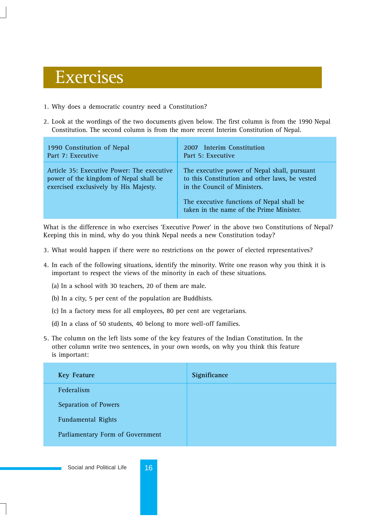# Exercises

- 1. Why does a democratic country need a Constitution?
- 2. Look at the wordings of the two documents given below. The first column is from the 1990 Nepal Constitution. The second column is from the more recent Interim Constitution of Nepal.

| 1990 Constitution of Nepal                                                                                                    | 2007 Interim Constitution                                                                                                                                                                                               |
|-------------------------------------------------------------------------------------------------------------------------------|-------------------------------------------------------------------------------------------------------------------------------------------------------------------------------------------------------------------------|
| Part 7: Executive                                                                                                             | Part 5: Executive                                                                                                                                                                                                       |
| Article 35: Executive Power: The executive<br>power of the kingdom of Nepal shall be<br>exercised exclusively by His Majesty. | The executive power of Nepal shall, pursuant<br>to this Constitution and other laws, be vested<br>in the Council of Ministers.<br>The executive functions of Nepal shall be<br>taken in the name of the Prime Minister. |

What is the difference in who exercises 'Executive Power' in the above two Constitutions of Nepal? Keeping this in mind, why do you think Nepal needs a new Constitution today?

- 3. What would happen if there were no restrictions on the power of elected representatives?
- 4. In each of the following situations, identify the minority. Write one reason why you think it is important to respect the views of the minority in each of these situations.
	- (a) In a school with 30 teachers, 20 of them are male.
	- (b) In a city, 5 per cent of the population are Buddhists.
	- (c) In a factory mess for all employees, 80 per cent are vegetarians.
	- (d) In a class of 50 students, 40 belong to more well-off families.
- 5. The column on the left lists some of the key features of the Indian Constitution. In the other column write two sentences, in your own words, on why you think this feature is important:

| <b>Key Feature</b>               | Significance |
|----------------------------------|--------------|
| Federalism                       |              |
| Separation of Powers             |              |
| <b>Fundamental Rights</b>        |              |
| Parliamentary Form of Government |              |

Social and Political Life 16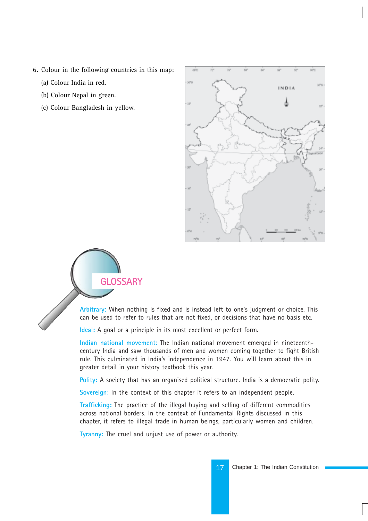- 6. Colour in the following countries in this map:
	- (a) Colour India in red.
	- (b) Colour Nepal in green.
	- (c) Colour Bangladesh in yellow.





**Arbitrary**: When nothing is fixed and is instead left to one's judgment or choice. This can be used to refer to rules that are not fixed, or decisions that have no basis etc.

**Ideal:** A goal or a principle in its most excellent or perfect form.

**Indian national movement**: The Indian national movement emerged in nineteenthcentury India and saw thousands of men and women coming together to fight British rule. This culminated in India's independence in 1947. You will learn about this in greater detail in your history textbook this year.

**Polity:** A society that has an organised political structure. India is a democratic polity.

**Sovereign**: In the context of this chapter it refers to an independent people.

**Trafficking:** The practice of the illegal buying and selling of different commodities across national borders. In the context of Fundamental Rights discussed in this chapter, it refers to illegal trade in human beings, particularly women and children.

**Tyranny:** The cruel and unjust use of power or authority.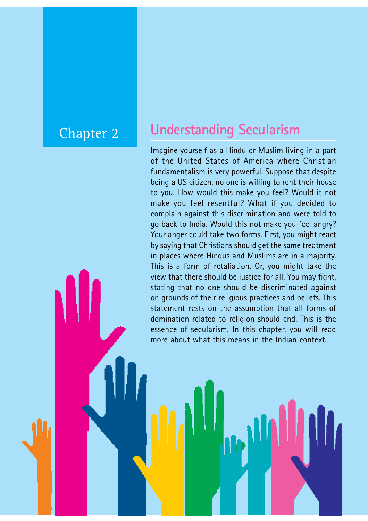## Chapter 2

Social and Political Life 18

# **Understanding Secularism**

Imagine yourself as a Hindu or Muslim living in a part of the United States of America where Christian fundamentalism is very powerful. Suppose that despite being a US citizen, no one is willing to rent their house to you. How would this make you feel? Would it not make you feel resentful? What if you decided to complain against this discrimination and were told to go back to India. Would this not make you feel angry? Your anger could take two forms. First, you might react by saying that Christians should get the same treatment in places where Hindus and Muslims are in a majority. This is a form of retaliation. Or, you might take the view that there should be justice for all. You may fight, stating that no one should be discriminated against on grounds of their religious practices and beliefs. This statement rests on the assumption that all forms of domination related to religion should end. This is the essence of secularism. In this chapter, you will read more about what this means in the Indian context.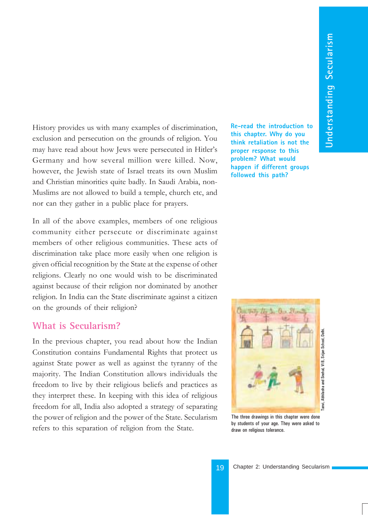History provides us with many examples of discrimination, exclusion and persecution on the grounds of religion. You may have read about how Jews were persecuted in Hitler's Germany and how several million were killed. Now, however, the Jewish state of Israel treats its own Muslim and Christian minorities quite badly. In Saudi Arabia, non-Muslims are not allowed to build a temple, church etc, and nor can they gather in a public place for prayers.

In all of the above examples, members of one religious community either persecute or discriminate against members of other religious communities. These acts of discrimination take place more easily when one religion is given official recognition by the State at the expense of other religions. Clearly no one would wish to be discriminated against because of their religion nor dominated by another religion. In India can the State discriminate against a citizen on the grounds of their religion?

### **What is Secularism?**

In the previous chapter, you read about how the Indian Constitution contains Fundamental Rights that protect us against State power as well as against the tyranny of the majority. The Indian Constitution allows individuals the freedom to live by their religious beliefs and practices as they interpret these. In keeping with this idea of religious freedom for all, India also adopted a strategy of separating the power of religion and the power of the State. Secularism refers to this separation of religion from the State.

**Re-read the introduction to this chapter. Why do you think retaliation is not the proper response to this problem? What would happen if different groups followed this path?**



The three drawings in this chapter were done by students of your age. They were asked to draw on religious tolerance.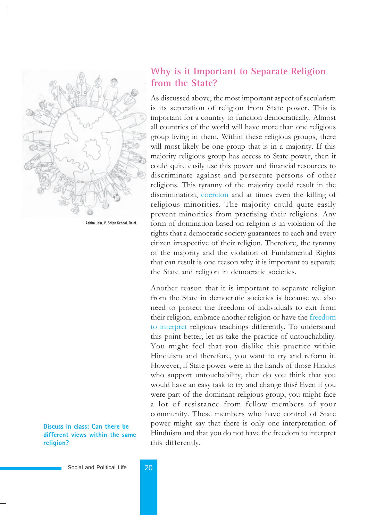

Ashita Jain, V, Srijan School, Delhi.

**Discuss in class: Can there be different views within the same religion?**

### **Why is it Important to Separate Religion from the State?**

As discussed above, the most important aspect of secularism is its separation of religion from State power. This is important for a country to function democratically. Almost all countries of the world will have more than one religious group living in them. Within these religious groups, there will most likely be one group that is in a majority. If this majority religious group has access to State power, then it could quite easily use this power and financial resources to discriminate against and persecute persons of other religions. This tyranny of the majority could result in the discrimination, coercion and at times even the killing of religious minorities. The majority could quite easily prevent minorities from practising their religions. Any form of domination based on religion is in violation of the rights that a democratic society guarantees to each and every citizen irrespective of their religion. Therefore, the tyranny of the majority and the violation of Fundamental Rights that can result is one reason why it is important to separate the State and religion in democratic societies.

Another reason that it is important to separate religion from the State in democratic societies is because we also need to protect the freedom of individuals to exit from their religion, embrace another religion or have the freedom to interpret religious teachings differently. To understand this point better, let us take the practice of untouchability. You might feel that you dislike this practice within Hinduism and therefore, you want to try and reform it. However, if State power were in the hands of those Hindus who support untouchability, then do you think that you would have an easy task to try and change this? Even if you were part of the dominant religious group, you might face a lot of resistance from fellow members of your community. These members who have control of State power might say that there is only one interpretation of Hinduism and that you do not have the freedom to interpret this differently.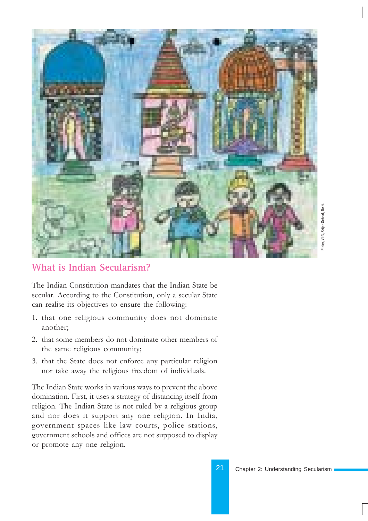

### **What is Indian Secularism?**

The Indian Constitution mandates that the Indian State be secular. According to the Constitution, only a secular State can realise its objectives to ensure the following:

- 1. that one religious community does not dominate another;
- 2. that some members do not dominate other members of the same religious community;
- 3. that the State does not enforce any particular religion nor take away the religious freedom of individuals.

The Indian State works in various ways to prevent the above domination. First, it uses a strategy of distancing itself from religion. The Indian State is not ruled by a religious group and nor does it support any one religion. In India, government spaces like law courts, police stations, government schools and offices are not supposed to display or promote any one religion.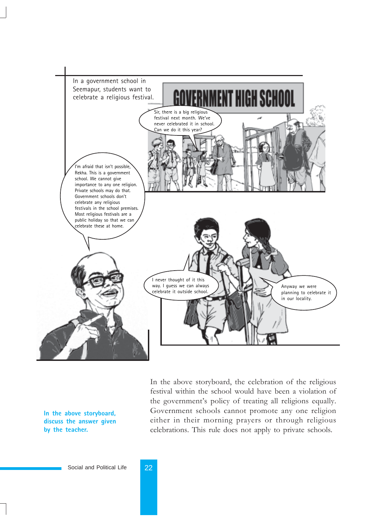

In the above storyboard, the celebration of the religious festival within the school would have been a violation of the government's policy of treating all religions equally. Government schools cannot promote any one religion either in their morning prayers or through religious celebrations. This rule does not apply to private schools.

**In the above storyboard, discuss the answer given by the teacher.**

Social and Political Life 22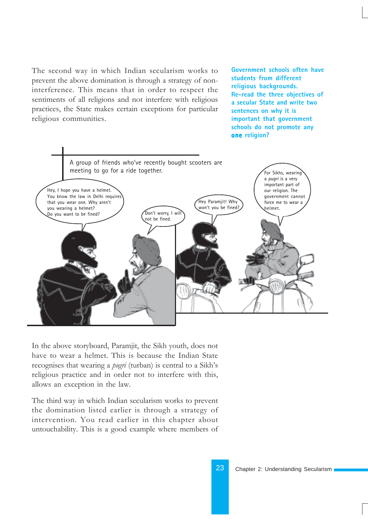The second way in which Indian secularism works to prevent the above domination is through a strategy of noninterference. This means that in order to respect the sentiments of all religions and not interfere with religious practices, the State makes certain exceptions for particular religious communities.

**Government schools often have students from different religious backgrounds. Re-read the three objectives of a secular State and write two sentences on why it is important that government schools do not promote any one religion? one**



In the above storyboard, Paramjit, the Sikh youth, does not have to wear a helmet. This is because the Indian State recognises that wearing a *pugri* (turban) is central to a Sikh's religious practice and in order not to interfere with this, allows an exception in the law.

The third way in which Indian secularism works to prevent the domination listed earlier is through a strategy of intervention. You read earlier in this chapter about untouchability. This is a good example where members of

23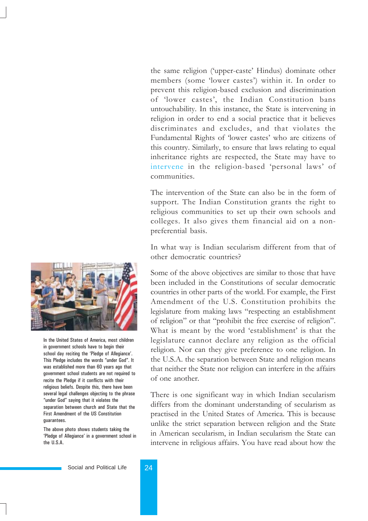the same religion ('upper-caste' Hindus) dominate other members (some 'lower castes') within it. In order to prevent this religion-based exclusion and discrimination of 'lower castes', the Indian Constitution bans untouchability. In this instance, the State is intervening in religion in order to end a social practice that it believes discriminates and excludes, and that violates the Fundamental Rights of 'lower castes' who are citizens of this country. Similarly, to ensure that laws relating to equal inheritance rights are respected, the State may have to intervene in the religion-based 'personal laws' of communities.

The intervention of the State can also be in the form of support. The Indian Constitution grants the right to religious communities to set up their own schools and colleges. It also gives them financial aid on a nonpreferential basis.

In what way is Indian secularism different from that of other democratic countries?

Some of the above objectives are similar to those that have been included in the Constitutions of secular democratic countries in other parts of the world. For example, the First Amendment of the U.S. Constitution prohibits the legislature from making laws "respecting an establishment of religion" or that "prohibit the free exercise of religion". What is meant by the word 'establishment' is that the legislature cannot declare any religion as the official religion. Nor can they give preference to one religion. In the U.S.A. the separation between State and religion means that neither the State nor religion can interfere in the affairs of one another.

There is one significant way in which Indian secularism differs from the dominant understanding of secularism as practised in the United States of America. This is because unlike the strict separation between religion and the State in American secularism, in Indian secularism the State can intervene in religious affairs. You have read about how the



In the United States of America, most children in government schools have to begin their school day reciting the 'Pledge of Allegiance'. This Pledge includes the words "under God". It was established more than 60 years ago that government school students are not required to recite the Pledge if it conflicts with their religious beliefs. Despite this, there have been several legal challenges objecting to the phrase "under God" saying that it violates the separation between church and State that the First Amendment of the US Constitution guarantees.

The above photo shows students taking the 'Pledge of Allegiance' in a government school in the U.S.A.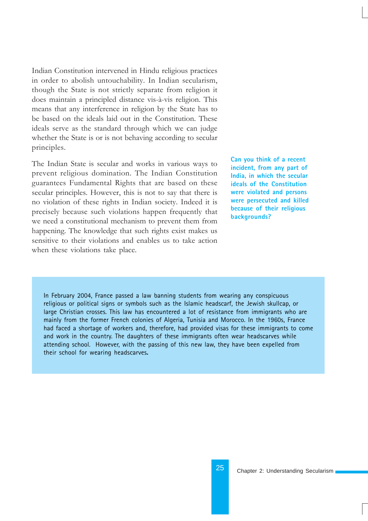Indian Constitution intervened in Hindu religious practices in order to abolish untouchability. In Indian secularism, though the State is not strictly separate from religion it does maintain a principled distance vis-à-vis religion. This means that any interference in religion by the State has to be based on the ideals laid out in the Constitution. These ideals serve as the standard through which we can judge whether the State is or is not behaving according to secular principles.

The Indian State is secular and works in various ways to prevent religious domination. The Indian Constitution guarantees Fundamental Rights that are based on these secular principles. However, this is not to say that there is no violation of these rights in Indian society. Indeed it is precisely because such violations happen frequently that we need a constitutional mechanism to prevent them from happening. The knowledge that such rights exist makes us sensitive to their violations and enables us to take action when these violations take place.

**Can you think of a recent incident, from any part of India, in which the secular ideals of the Constitution were violated and persons were persecuted and killed because of their religious backgrounds?**

In February 2004, France passed a law banning students from wearing any conspicuous religious or political signs or symbols such as the Islamic headscarf, the Jewish skullcap, or large Christian crosses. This law has encountered a lot of resistance from immigrants who are mainly from the former French colonies of Algeria, Tunisia and Morocco. In the 1960s, France had faced a shortage of workers and, therefore, had provided visas for these immigrants to come and work in the country. The daughters of these immigrants often wear headscarves while attending school. However, with the passing of this new law, they have been expelled from their school for wearing headscarves**.**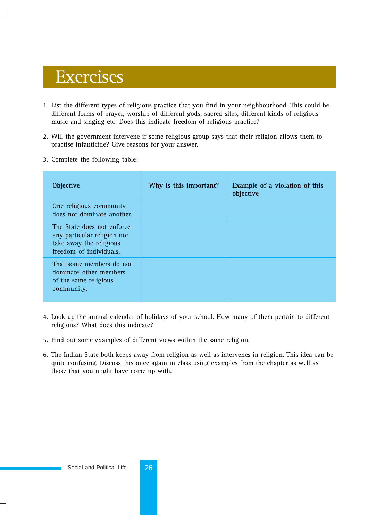# Exercises

- 1. List the different types of religious practice that you find in your neighbourhood. This could be different forms of prayer, worship of different gods, sacred sites, different kinds of religious music and singing etc. Does this indicate freedom of religious practice?
- 2. Will the government intervene if some religious group says that their religion allows them to practise infanticide? Give reasons for your answer.
- 3. Complete the following table:

| <b>Objective</b>                                                                                                | Why is this important? | Example of a violation of this<br>objective |
|-----------------------------------------------------------------------------------------------------------------|------------------------|---------------------------------------------|
| One religious community<br>does not dominate another.                                                           |                        |                                             |
| The State does not enforce<br>any particular religion nor<br>take away the religious<br>freedom of individuals. |                        |                                             |
| That some members do not<br>dominate other members<br>of the same religious<br>community.                       |                        |                                             |

- 4. Look up the annual calendar of holidays of your school. How many of them pertain to different religions? What does this indicate?
- 5. Find out some examples of different views within the same religion.
- 6. The Indian State both keeps away from religion as well as intervenes in religion. This idea can be quite confusing. Discuss this once again in class using examples from the chapter as well as those that you might have come up with.